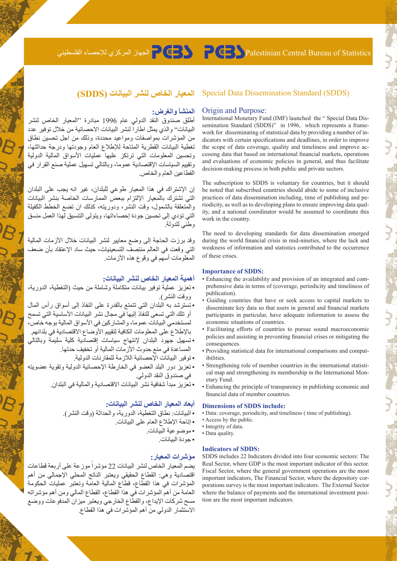## Statistics of Bureau Central Palestinian الجهاز المركزي لإلحصاء الفلسطيني

## **المعيار الخاص لنشر البيانات )SDDS)** (SDDS (Standard Dissemination Data Special

#### **المنشأ والغرض:** Origin and Purpose:

أطلق صندوق النقد الدولي عام 1996 مبادرة "المعيار الخاص لنشر البيانات'' والذي يمثل اطاراً لنشر البيانات الاحصائية من خلال توفير عدد من المؤشرات بمواصفات ومواعيد محددة، وذلك من اجل تحسين نطاق تغطية البيانات القطرية المتاحة لإلطالع العام وجودتها ودرجة حداثتها، وتحسين المعلومات التي ترتكز عليها عمليات األسواق المالية الدولية وتقييم السياسات اإلقتصادية عموما، وبالتالي تسهيل عملية صنع القرار في القطاعين العام والخاص.

إن اإلشتراك في هذا المعيار طوعي للبلدان، غير انه يجب على البلدان التي تشترك بالمعيار اإللتزام ببعض الممارسات الخاصة بنشر البيانات والمتعلقة بالشمول، وقت النشر، ودوريته، كذلك ان تضع الخطط الكفيلة التي تؤدي إلى تحسين جودة إحصاءاتها، ويتولى التنسيق لهذا العمل منسق وطني للدولة.

وقد برزت الحاجة إلى وضع معايير لنشر البيانات خلال الأزمات المالية التي وقعت في العالم منتصف التسعينيات، حيث ساد اإلعتقاد بأن ضعف المعلومات أسهم في وقوع هذه األزمات.

#### **أهمية المعيار الخاص لنشر البيانات:**

- •تعزيز عملية توفير بيانات متكاملة وشاملة من حيث )التغطية، الدورية، ووقت النشر(.
- •تسترشد به البلدان التي تتمتع بالقدرة على النفاذ إلى أسواق رأس المال أو تلك التي تسعى للنفاذ إليها في مجال نشر البيانات األساسية التي تسمح لمستخدمي البيانات عموما، والمشاركين في الأسواق المالية بوجه خاص، باإلطالع على المعلومات الكافية لتقييم األوضاع االقتصادية في بلدانهم.
- •تسهيل جهود البلدان إلنتهاج سياسات إقتصادية كلية سليمة وبالتالي المساعدة في منع حدوث األزمات المالية أو تخفيف حدتها.
	- •توفير البيانات اإلحصائية الالزمة للمقارنات الدولية.
- •تعزيز دور البلد العضو في الخارطة اإلحصائية الدولية وتقوية عضويته في صندوق النقد الدولي.
	- •تعزيز مبدأ شفافية نشر البيانات االقتصادية والمالية في البلدان.

#### **أبعاد المعيار الخاص لنشر البيانات:**

- •البيانات: نطاق التغطية، الدورية، والحداثة )وقت النشر(.
	- •إتاحة اإلطالع العام على البيانات.
		- •موضوعية البيانات.
			- جودة البيانات.

#### **مؤشرات المعيار: Indicators** of SDDS:

يضم المعيار الخاص لنشر البيانات 22 مؤشراً موزعة على أربعة قطاعات اقتصادية وهي: القطاع الحقيقي ويعتبر الناتج المحلي اإلجمالي من أهم المؤشرات في هذا القطاع، قطاع المالية العامة وتعتبر عمليات الحكومة العامة من أهم المؤشرات في هذا القطاع، القطاع المالي ومن أهم مؤشراته مسح شركات اإليداع، والقطاع الخارجي ويعتبر ميزان المدفوعات ووضع االستثمار الدولي من أهم المؤشرات في هذا القطاع.

dicators with certain specifications and deadlines, in order to improve work for disseminating of statistical data by providing a number of insemination Standard (SDDS)" in 1996, which represents a frame-International Monetary Fund (IMF) launched the " Special Data Discessing data that based on international financial markets, operations the scope of data coverage, quality and timeliness and improve acand evaluations of economic policies in general, and thus facilitate decision-making process in both public and private sectors.

The subscription to SDDS is voluntary for countries, but it should be noted that subscribed countries should abide to some of inclusive ity, and a national coordinator would be assumed to coordinate this riodicity, as well as to developing plans to ensure improving data qualpractices of data dissemination including, time of publishing and pework in the country.

The need to developing standards for data dissemination emerged during the world financial crisis in mid-nineties, where the lack and weakness of information and statistics contributed to the occurrence of these crises.

#### **Importance of SDDS:**

- prehensive data in terms of (coverage, periodicity and timeliness of • Enhancing the availability and provision of an integrated and comnublication).
- Guiding countries that have or seek access to capital markets to disseminate key data so that users in general and financial markets participants in particular, have adequate information to assess the economic situations of countries.
- Facilitating efforts of countries to pursue sound macroeconomic policies and assisting in preventing financial crises or mitigating the .consequences
- Providing statistical data for international comparisons and compatibilities.
- cal map and strengthening its membership in the International Mon-<br>etary Fund. Strengthening role of member countries in the international statistical map and strengthening its membership in the International Mon-• Strengthening role of member countries in the international statisti-
- Enhancing the principle of transparency in publishing economic and financial data of member countries.

where the balance of payments and the international investment position are the most important indicators.

## **Dimensions of SDDS include:**

- Data: coverage, periodicity, and timeliness ( time of publishing).
- Access by the public.
- Integrity of data.
- Data quality.

# SDDS includes 22 Indicators divided into four economic sectors: The Real Sector, where GDP is the most important indicator of this sector. Fiscal Sector, where the general government operations are the most porations survey is the most important indicators. The External Sector important indicators, The Financial Sector, where the depository cor-